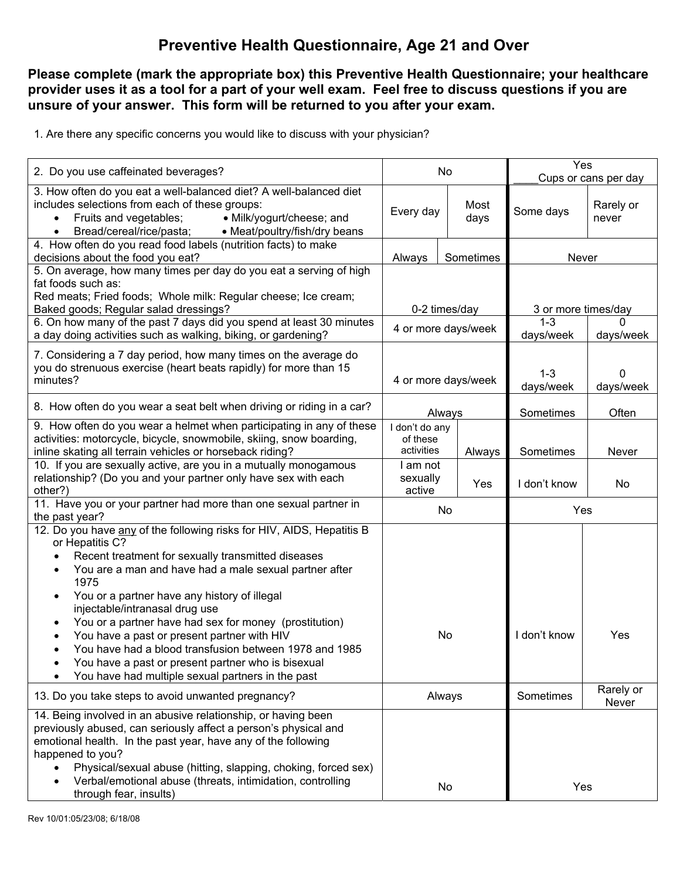## **Preventive Health Questionnaire, Age 21 and Over**

## **Please complete (mark the appropriate box) this Preventive Health Questionnaire; your healthcare provider uses it as a tool for a part of your well exam. Feel free to discuss questions if you are unsure of your answer. This form will be returned to you after your exam.**

1. Are there any specific concerns you would like to discuss with your physician?

| 2. Do you use caffeinated beverages?                                                                                                                                                                                                                                                                                                                                                                                                  | No                                       |  |                                 | Yes<br>Cups or cans per day |                           |  |  |
|---------------------------------------------------------------------------------------------------------------------------------------------------------------------------------------------------------------------------------------------------------------------------------------------------------------------------------------------------------------------------------------------------------------------------------------|------------------------------------------|--|---------------------------------|-----------------------------|---------------------------|--|--|
| 3. How often do you eat a well-balanced diet? A well-balanced diet<br>includes selections from each of these groups:<br>Fruits and vegetables;<br>• Milk/yogurt/cheese; and<br>Bread/cereal/rice/pasta;<br>• Meat/poultry/fish/dry beans<br>$\bullet$                                                                                                                                                                                 | Every day                                |  | Most<br>days                    | Some days                   | Rarely or<br>never        |  |  |
| 4. How often do you read food labels (nutrition facts) to make<br>decisions about the food you eat?                                                                                                                                                                                                                                                                                                                                   | Always<br>Sometimes                      |  | Never                           |                             |                           |  |  |
| 5. On average, how many times per day do you eat a serving of high<br>fat foods such as:<br>Red meats; Fried foods; Whole milk: Regular cheese; Ice cream;<br>Baked goods; Regular salad dressings?                                                                                                                                                                                                                                   | 0-2 times/day                            |  |                                 | 3 or more times/day         |                           |  |  |
| 6. On how many of the past 7 days did you spend at least 30 minutes<br>a day doing activities such as walking, biking, or gardening?                                                                                                                                                                                                                                                                                                  | 4 or more days/week                      |  |                                 | $1 - 3$<br>days/week        | <sup>0</sup><br>days/week |  |  |
| 7. Considering a 7 day period, how many times on the average do<br>you do strenuous exercise (heart beats rapidly) for more than 15<br>minutes?                                                                                                                                                                                                                                                                                       | 4 or more days/week                      |  | $1 - 3$<br>days/week            | $\Omega$<br>days/week       |                           |  |  |
| 8. How often do you wear a seat belt when driving or riding in a car?                                                                                                                                                                                                                                                                                                                                                                 | Always                                   |  | Sometimes                       | Often                       |                           |  |  |
| 9. How often do you wear a helmet when participating in any of these<br>activities: motorcycle, bicycle, snowmobile, skiing, snow boarding,<br>inline skating all terrain vehicles or horseback riding?                                                                                                                                                                                                                               | I don't do any<br>of these<br>activities |  | Always                          | Sometimes                   | Never                     |  |  |
| 10. If you are sexually active, are you in a mutually monogamous<br>relationship? (Do you and your partner only have sex with each<br>other?)                                                                                                                                                                                                                                                                                         | am not<br>sexually<br>active             |  | Yes                             | I don't know                | No                        |  |  |
| 11. Have you or your partner had more than one sexual partner in<br>the past year?                                                                                                                                                                                                                                                                                                                                                    | No                                       |  |                                 | Yes                         |                           |  |  |
| 12. Do you have any of the following risks for HIV, AIDS, Hepatitis B<br>or Hepatitis C?<br>Recent treatment for sexually transmitted diseases<br>You are a man and have had a male sexual partner after<br>1975<br>You or a partner have any history of illegal<br>$\bullet$<br>injectable/intranasal drug use<br>You or a partner have had sex for money (prostitution)<br>$\bullet$<br>You have a past or present partner with HIV | No                                       |  | I don't know                    | Yes                         |                           |  |  |
| You have had a blood transfusion between 1978 and 1985<br>You have a past or present partner who is bisexual<br>$\bullet$<br>You have had multiple sexual partners in the past                                                                                                                                                                                                                                                        |                                          |  |                                 |                             |                           |  |  |
| 13. Do you take steps to avoid unwanted pregnancy?                                                                                                                                                                                                                                                                                                                                                                                    | Always                                   |  | Rarely or<br>Sometimes<br>Never |                             |                           |  |  |
| 14. Being involved in an abusive relationship, or having been<br>previously abused, can seriously affect a person's physical and<br>emotional health. In the past year, have any of the following<br>happened to you?<br>Physical/sexual abuse (hitting, slapping, choking, forced sex)<br>Verbal/emotional abuse (threats, intimidation, controlling<br>through fear, insults)                                                       | No                                       |  | Yes                             |                             |                           |  |  |